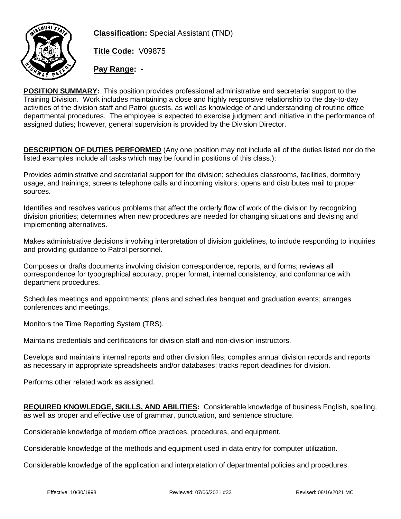

**Classification:** Special Assistant (TND)

**Title Code:** V09875

**Pay Range:** -

**POSITION SUMMARY:** This position provides professional administrative and secretarial support to the Training Division. Work includes maintaining a close and highly responsive relationship to the day-to-day activities of the division staff and Patrol guests, as well as knowledge of and understanding of routine office departmental procedures. The employee is expected to exercise judgment and initiative in the performance of assigned duties; however, general supervision is provided by the Division Director.

**DESCRIPTION OF DUTIES PERFORMED** (Any one position may not include all of the duties listed nor do the listed examples include all tasks which may be found in positions of this class.):

Provides administrative and secretarial support for the division; schedules classrooms, facilities, dormitory usage, and trainings; screens telephone calls and incoming visitors; opens and distributes mail to proper sources.

Identifies and resolves various problems that affect the orderly flow of work of the division by recognizing division priorities; determines when new procedures are needed for changing situations and devising and implementing alternatives.

Makes administrative decisions involving interpretation of division guidelines, to include responding to inquiries and providing guidance to Patrol personnel.

Composes or drafts documents involving division correspondence, reports, and forms; reviews all correspondence for typographical accuracy, proper format, internal consistency, and conformance with department procedures.

Schedules meetings and appointments; plans and schedules banquet and graduation events; arranges conferences and meetings.

Monitors the Time Reporting System (TRS).

Maintains credentials and certifications for division staff and non-division instructors.

Develops and maintains internal reports and other division files; compiles annual division records and reports as necessary in appropriate spreadsheets and/or databases; tracks report deadlines for division.

Performs other related work as assigned.

**REQUIRED KNOWLEDGE, SKILLS, AND ABILITIES:** Considerable knowledge of business English, spelling, as well as proper and effective use of grammar, punctuation, and sentence structure.

Considerable knowledge of modern office practices, procedures, and equipment.

Considerable knowledge of the methods and equipment used in data entry for computer utilization.

Considerable knowledge of the application and interpretation of departmental policies and procedures.